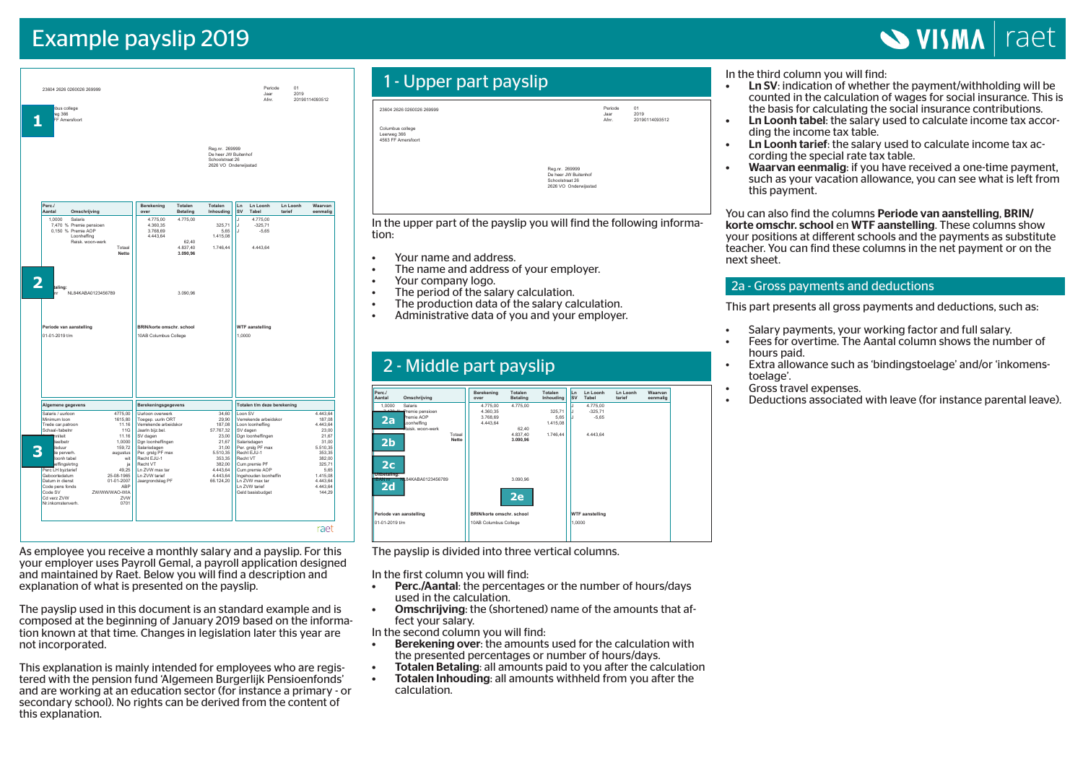# Example payslip 2019

# **SVISMA** raet

| bus college<br>eg 366<br>FF Amersfoort    |                                     |                                                    |                               |                                                                                    |                 | Jaar<br>Afnr.                             | 2019               | 20190114093512               |
|-------------------------------------------|-------------------------------------|----------------------------------------------------|-------------------------------|------------------------------------------------------------------------------------|-----------------|-------------------------------------------|--------------------|------------------------------|
|                                           |                                     |                                                    |                               | Reg.nr. 269999<br>De heer JW Buitenhof<br>Schoolstraat 26<br>2626 VO Onderwijsstad |                 |                                           |                    |                              |
| Perc./<br>Aantal                          | Omschrijving                        | Berekening<br>over                                 | Totalen<br>Betaling           | Totalen<br>Inhouding                                                               | Ln<br><b>SV</b> | <b>Ln Loonh</b><br>Tabel                  | Ln Loonh<br>tarief | Waarvan<br>eenmalig          |
| 1.0000<br>Salaris                         |                                     | 4.775,00                                           | 4.775,00                      |                                                                                    | J               | 4.775.00                                  |                    |                              |
| 7,470 % Premie pensioen                   |                                     | 4.360,35                                           |                               | 325,71                                                                             | J.              | $-325,71$                                 |                    |                              |
| 0.150 % Premie AOP<br>Loonheffing         |                                     | 3.768.69<br>4.443,64                               |                               | 5.65<br>1.415,08                                                                   | J               | $-5.65$                                   |                    |                              |
|                                           | Reisk. woon-werk<br>Totaal<br>Netto |                                                    | 62.40<br>4.837.40<br>3.090,96 | 1.746.44                                                                           |                 | 4.443.64                                  |                    |                              |
| Periode van aanstelling<br>01-01-2019 t/m |                                     | BRIN/korte omschr. school<br>10AB Columbus College |                               |                                                                                    | 1.0000          |                                           |                    |                              |
|                                           |                                     |                                                    |                               |                                                                                    |                 |                                           |                    |                              |
| Algemene gegevens                         |                                     | Berekeningsgegevens                                |                               |                                                                                    |                 | Totalen t/m deze berekening               |                    |                              |
| Salaris / uurloon                         | 4775.00                             | Uurloon overwerk                                   |                               | 34.60                                                                              | Loon SV         |                                           |                    | 4.443.64                     |
| Minimum Ioon<br>Trede car.patroon         | 1615.80<br>11.16                    | Toegep. uurin ORT<br>Verrekende arbeidskor         |                               | 29.90<br>187,08                                                                    |                 | Verrekende arbeidskor<br>Loon loonheffing |                    |                              |
| Schaal-/tabelnr                           | <b>11G</b>                          | Jaarin bijz.bel.                                   |                               | 57.767.32                                                                          |                 | SV dagen                                  |                    | 187.08<br>4.443,64<br>23.00  |
| hniteit<br>teelbetr                       | 11.16<br>1.0000                     | SV dagen<br>Dgn loonheffingen                      |                               | 23,00<br>21.67                                                                     |                 | Dgn loonheffingen<br>Salarisdagen         |                    |                              |
| <b>Isduur</b>                             | 159,72                              | Salarisdagen                                       |                               | 31,00                                                                              |                 | Per. grslg PF max                         |                    | 21,67<br>31,00<br>5.510,35   |
| te perverh.                               | augustus                            | Per. grslg PF max                                  |                               | 5.510,35                                                                           |                 | Recht EJU-1                               |                    | 353,35                       |
| loonh tabel<br>effingskrtng               | wit<br>ja                           | Recht EJU-1<br>Recht VT                            |                               | 353,35<br>382,00                                                                   |                 | Recht VT<br>Cum.premie PF                 |                    | 382,00<br>325,71             |
| Perc LH byztarief<br>Geboortedatum        | 49,25<br>25-08-1965                 | Ln ZVW max tar                                     |                               | 4.443,64                                                                           |                 | Cum.premie AOP                            |                    |                              |
| Datum in dienst                           | 01-01-2007                          | Ln ZVW tarief<br>Jaargrondslag PF                  |                               | 4.443,64<br>66.124,20                                                              |                 | Ingehouden loonheffin<br>Ln ZVW max tar   |                    | 5,65<br>1.415,08<br>4.443,64 |
| Code pens fonds<br>Code SV                | ABP<br>ZW/WW/WAO-WIA                |                                                    |                               |                                                                                    |                 | Ln ZVW tarief<br>Geld basisbudget         |                    | 4.443,64<br>144,29           |

As employee you receive a monthly salary and a payslip. For this your employer uses Payroll Gemal, a payroll application designed and maintained by Raet. Below you will find a description and explanation of what is presented on the payslip.

The payslip used in this document is an standard example and is composed at the beginning of January 2019 based on the information known at that time. Changes in legislation later this year are not incorporated.

This explanation is mainly intended for employees who are registered with the pension fund 'Algemeen Burgerlijk Pensioenfonds' and are working at an education sector (for instance a primary - or secondary school). No rights can be derived from the content of this explanation.

# 1 - Upper part payslip

| 23604 2626 0260026 269999                             |                                                                                    | Periode<br>Jaar<br>Afnr. | 01<br>2019<br>20190114093512 |
|-------------------------------------------------------|------------------------------------------------------------------------------------|--------------------------|------------------------------|
| Columbus college<br>Leerweg 366<br>4563 FF Amersfoort |                                                                                    |                          |                              |
|                                                       | Reg.nr. 269999<br>De heer JW Buitenhof<br>Schoolstraat 26<br>2626 VO Onderwijsstad |                          |                              |

In the upper part of the payslip you will find the following information: **Aantal**

- Your name and address.
- The name and address of your employer. Periode
- Your company logo.

**Periode van aanstelling**

- The period of the salary calculation.
- The production data of the salary calculation.
- Administrative data of you and your employer.

**BRIN/korte omschr. school**

# 2 - Middle part payslip



**WTF aanstelling**

The payslip is divided into three vertical columns.

In the first column you will find:

- used in the calculation. • Perc./Aantal: the percentages or the number of hours/days
- Salaris die care care care in the care care are in the care are in the care of the state of the state of the s fect your salary.  $na$ le of the a • asea in the calculation.<br>• Omschrijving: the (shortened) name of the amounts that af-

In the second column you will find:

- Berekening over: the amounts used for the calculation with the presented percentages or number of hours/days.
- $\blacksquare$  Totalen Betaling: all amounts paid to you after the cald - Totalen Betaling: all amounts paid to you after the calculation<br>- Totalen Inhouding: all amounts withheld from you after the
- Code SV calculation.

In the third column you will find:<br>
• Ln SV: indication of whether

- **Ln SV:** indication of whether the payment/withholding will be counted in the calculation of wages for social insurance. This is the basis for calculating the social insurance contributions.
- Ln Loonh tabel: the salary used to calculate income tax according the income tax table.
- **Ln Loonh tarief:** the salary used to calculate income tax according the special rate tax table.
- Waarvan eenmalig: if you have received a one-time payment, such as your vacation allowance, you can see what is left from this payment.

You can also find the columns Periode van aanstelling, BRIN/ korte omschr. school en WTF aanstelling. These columns show your positions at different schools and the payments as substitute teacher. You can find these columns in the net payment or on the next sheet.

## 2a - Gross payments and deductions

This part presents all gross payments and deductions, such as:

- Salary payments, your working factor and full salary.<br>• Eees for overtime The Aantal column shows the num
- Fees for overtime. The Aantal column shows the number of hours paid.
- • Extra allowance such as 'bindingstoelage' and/or 'inkomenstoelage'.
- Gross travel expenses.
- • Deductions associated with leave (for instance parental leave).